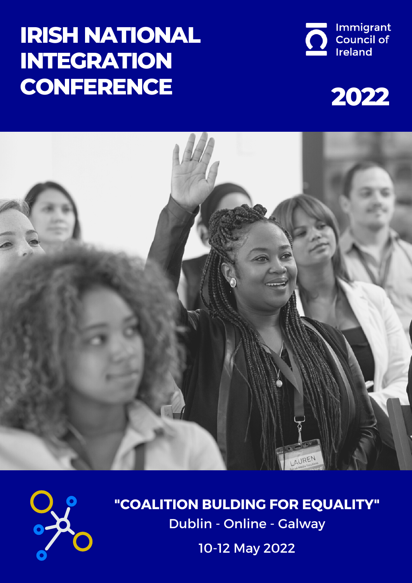# **IRISH NATIONAL INTEGRATION CONFERENCE**









**"COALITION BULDING FOR EQUALITY"** Dublin - Online - Galway

10-12 May 2022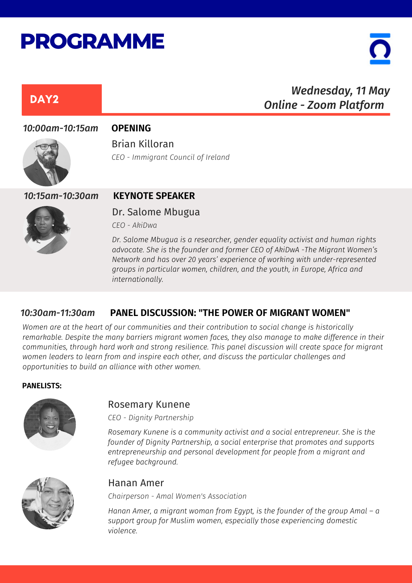# **PROGRAMME**

## Dr. Salome Mbugua DAY<sub>2</sub> *Wednesday, 11 May Online - Zoom Platform 10:00am-10:15am* **OPENING** *10:15am-10:30am* **KEYNOTE SPEAKER** Brian Killoran *CEO - Immigrant Council of Ireland*

*CEO - AkiDwa*

*Dr. Salome Mbugua is a researcher, gender equality activist and human rights advocate. She is the founder and former CEO of AkiDwA -The Migrant Women's Network and has over 20 years' experience of working with under-represented groups in particular women, children, and the youth, in Europe, Africa and internationally.*

#### *10:30am-11:30am* **PANEL DISCUSSION: "THE POWER OF MIGRANT WOMEN"**

*Women are at the heart of our communities and their contribution to social change is historically remarkable. Despite the many barriers migrant women faces, they also manage to make difference in their communities, through hard work and strong resilience. This panel discussion will create space for migrant women leaders to learn from and inspire each other, and discuss the particular challenges and opportunities to build an alliance with other women.*

#### **PANELISTS:**



#### Rosemary Kunene

*CEO - Dignity Partnership*

*Rosemary Kunene is a community activist and a social entrepreneur. She is the founder of Dignity Partnership, a social enterprise that promotes and supports entrepreneurship and personal development for people from a migrant and refugee background.*



#### Hanan Amer

*Chairperson - Amal Women's Association*

*Hanan Amer, a migrant woman from Egypt, is the founder of the group Amal – a support group for Muslim women, especially those experiencing domestic violence.*

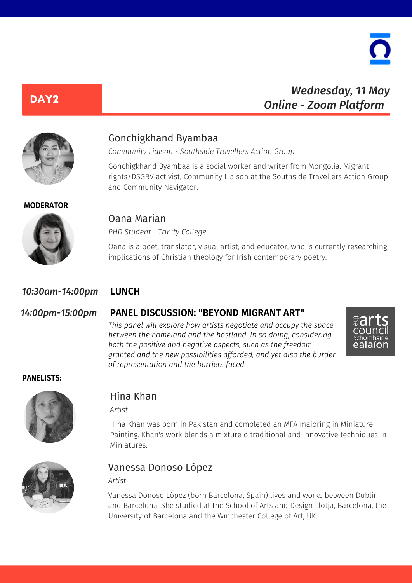

## *Wednesday, 11 May Online - Zoom Platform*

DAY<sub>2</sub>

#### Gonchigkhand Byambaa

*Community Liaison - Southside Travellers Action Group*

Gonchigkhand Byambaa is a social worker and writer from Mongolia. Migrant rights/DSGBV activist, Community Liaison at the Southside Travellers Action Group and Community Navigator.

#### **MODERATOR**



#### Oana Marian

*PHD Student - Trinity College*

Oana is a poet, translator, visual artist, and educator, who is currently researching implications of Christian theology for Irish contemporary poetry.

#### *10:30am-14:00pm* **LUNCH**

#### *14:00pm-15:00pm* **PANEL DISCUSSION: "BEYOND MIGRANT ART"**

*This panel will explore how artists negotiate and occupy the space between the homeland and the hostland. In so doing, considering both the positive and negative aspects, such as the freedom granted and the new possibilities afforded, and yet also the burden of representation and the barriers faced.*



#### **PANELISTS:**



#### Hina Khan

*Artist*

Hina Khan was born in Pakistan and completed an MFA majoring in Miniature Painting. Khan's work blends a mixture o traditional and innovative techniques in Miniatures.



#### Vanessa Donoso López

*Artist*

Vanessa Donoso López (born Barcelona, Spain) lives and works between Dublin and Barcelona. She studied at the School of Arts and Design Llotja, Barcelona, the University of Barcelona and the Winchester College of Art, UK.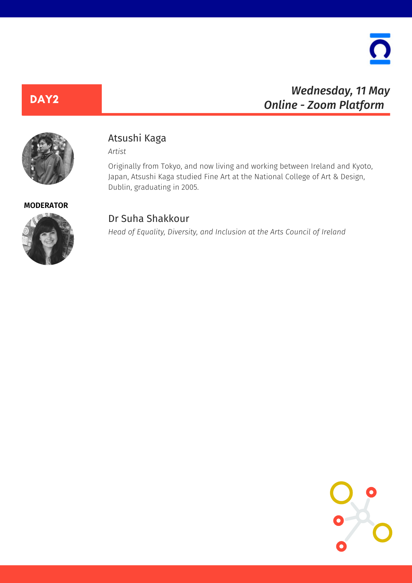

## *Wednesday, 11 May Online - Zoom Platform*

DAY<sub>2</sub>

### Atsushi Kaga

*Artist*

Originally from Tokyo, and now living and working between Ireland and Kyoto, Japan, Atsushi Kaga studied Fine Art at the National College of Art & Design, Dublin, graduating in 2005.

**MODERATOR**



#### Dr Suha Shakkour

*Head of Equality, Diversity, and Inclusion at the Arts Council of Ireland*